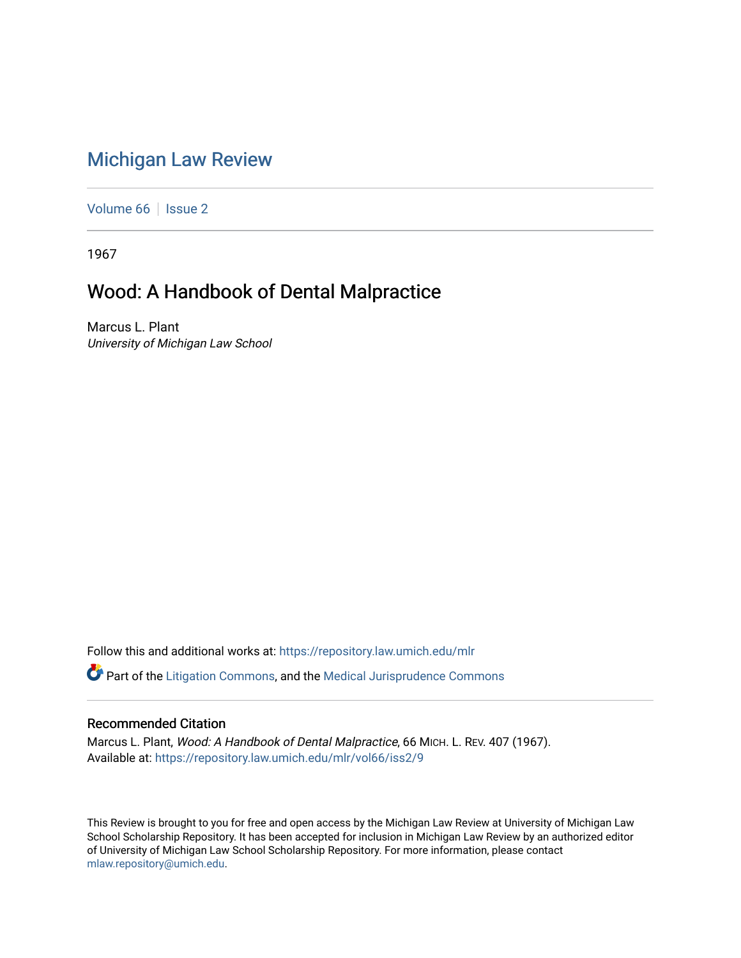## [Michigan Law Review](https://repository.law.umich.edu/mlr)

[Volume 66](https://repository.law.umich.edu/mlr/vol66) | [Issue 2](https://repository.law.umich.edu/mlr/vol66/iss2)

1967

# Wood: A Handbook of Dental Malpractice

Marcus L. Plant University of Michigan Law School

Follow this and additional works at: [https://repository.law.umich.edu/mlr](https://repository.law.umich.edu/mlr?utm_source=repository.law.umich.edu%2Fmlr%2Fvol66%2Fiss2%2F9&utm_medium=PDF&utm_campaign=PDFCoverPages) 

**C** Part of the [Litigation Commons](http://network.bepress.com/hgg/discipline/910?utm_source=repository.law.umich.edu%2Fmlr%2Fvol66%2Fiss2%2F9&utm_medium=PDF&utm_campaign=PDFCoverPages), and the [Medical Jurisprudence Commons](http://network.bepress.com/hgg/discipline/860?utm_source=repository.law.umich.edu%2Fmlr%2Fvol66%2Fiss2%2F9&utm_medium=PDF&utm_campaign=PDFCoverPages)

#### Recommended Citation

Marcus L. Plant, Wood: A Handbook of Dental Malpractice, 66 MICH. L. REV. 407 (1967). Available at: [https://repository.law.umich.edu/mlr/vol66/iss2/9](https://repository.law.umich.edu/mlr/vol66/iss2/9?utm_source=repository.law.umich.edu%2Fmlr%2Fvol66%2Fiss2%2F9&utm_medium=PDF&utm_campaign=PDFCoverPages)

This Review is brought to you for free and open access by the Michigan Law Review at University of Michigan Law School Scholarship Repository. It has been accepted for inclusion in Michigan Law Review by an authorized editor of University of Michigan Law School Scholarship Repository. For more information, please contact [mlaw.repository@umich.edu.](mailto:mlaw.repository@umich.edu)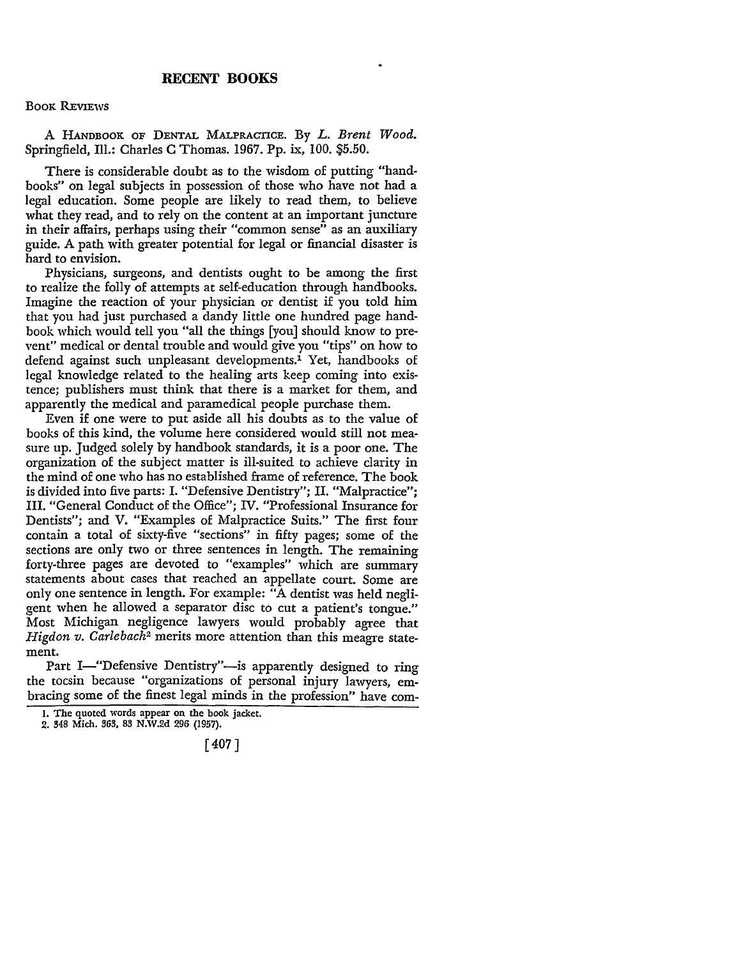#### **BOOK** REVIEWS

A HANDBOOK OF **DENTAL** MALPRACrICE. **By** *L. Brent Wood.* Springfield, Ill.: Charles C Thomas. 1967. Pp. ix, 100. \$5.50.

There is considerable doubt as to the wisdom of putting "handbooks" on legal subjects in possession of those who have not had a legal education. Some people are likely to read them, to believe what they read, and to rely on the content at an important juncture in their affairs, perhaps using their "common sense" as an auxiliary guide. **A** path with greater potential for legal or financial disaster is hard to envision.

Physicians, surgeons, and dentists ought to be among the first to realize the folly of attempts at self-education through handbooks. Imagine the reaction of your physician or dentist if you told him that you had just purchased a dandy little one hundred page handbook which would tell you "all the things [you] should know to prevent" medical or dental trouble and would give you "tips" on how to defend against such unpleasant developments.1 Yet, handbooks of legal knowledge related to the healing arts keep coming into existence; publishers must think that there is a market for them, and apparently the medical and paramedical people purchase them.

Even if one were to put aside all his doubts as to the value of books of this kind, the volume here considered would still not measure up. Judged solely by handbook standards, it is a poor one. The organization of the subject matter is ill-suited to achieve clarity in the mind of one who has no established frame of reference. The book is divided into five parts: I. "Defensive Dentistry"; II. "Malpractice"; III. "General Conduct of the Office"; IV. "Professional Insurance for Dentists"; and V. "Examples of Malpractice Suits." The first four contain a total of sixty-five "sections" in fifty pages; some of the sections are only two or three sentences in length. The remaining forty-three pages are devoted to "examples" which are summary statements about cases that reached an appellate court. Some are only one sentence in length. For example: **"A** dentist was held negligent when he allowed a separator disc to cut a patient's tongue." Most Michigan negligence lawyers would probably agree that *Higdon v. Carlebach2* merits more attention than this meagre statement.

Part I—"Defensive Dentistry"—is apparently designed to ring the tocsin because "organizations of personal injury lawyers, embracing some of the finest legal minds in the profession" have com-

[407]

**<sup>1.</sup>** The quoted words appear on the book jacket.

<sup>2.</sup> 348 Mich. **363, 83** N.W.2d **296 (1957).**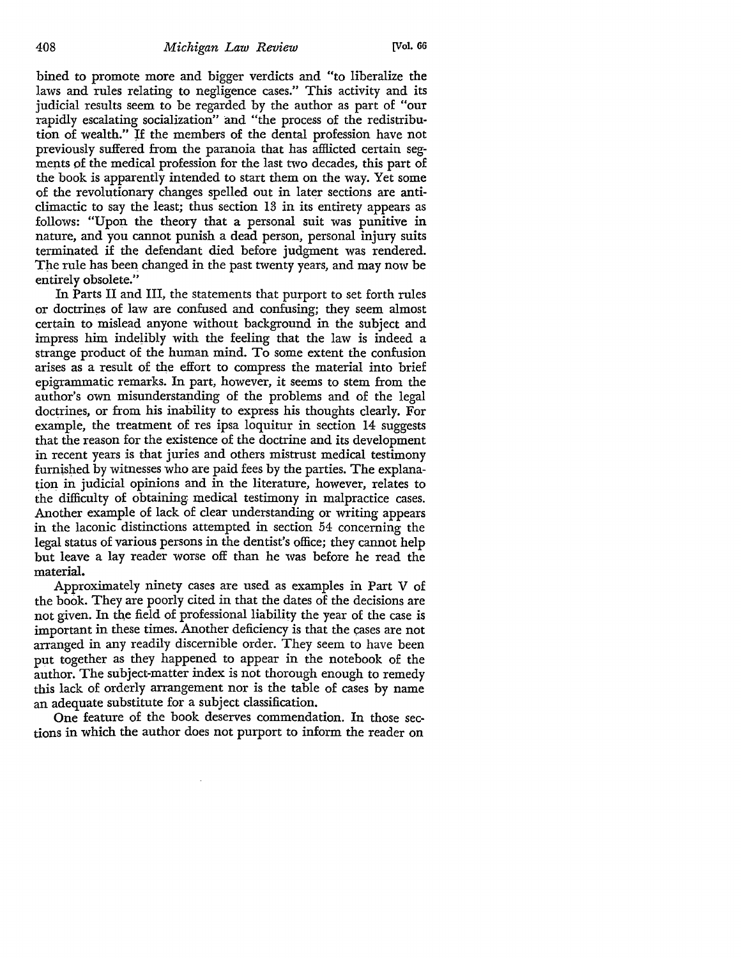bined to promote more and bigger verdicts and "to liberalize the laws and rules relating to negligence cases." This activity and its judicial results seem to be regarded **by** the author as part of "our rapidly escalating socialization" and "the process of the redistribution of wealth." **If** the members of the dental profession have not previously suffered from the paranoia that has afflicted certain segments of the medical profession for the last two decades, this part of the book is apparently intended to start them on the way. Yet some of the revolutionary changes spelled out in later sections are anticlimactic to say the least; thus section **13** in its entirety appears as follows: "Upon the theory that a personal suit was punitive in nature, and you cannot punish a dead person, personal injury suits terminated **if** the defendant died before judgment was rendered. The rule has been changed in the past twenty years, and may now be entirely obsolete."

In Parts **II** and III, the statements that purport to set forth rules or doctrines of law are confused and confusing; they seem almost certain to mislead anyone without background in the subject and impress him indelibly with the feeling that the law is indeed a strange product of the human mind. To some extent the confusion arises as a result of the effort to compress the material into brief epigrammatic remarks. In part, however, it seems to stem from the author's own misunderstanding of the problems and of the legal doctrines, or from his inability to express his thoughts clearly. For example, the treatment of res ipsa loquitur in section 14 suggests that the reason for the existence of the doctrine and its development in recent years is that juries and others mistrust medical testimony furnished **by** witnesses who are paid fees **by** the parties. The explanation in judicial opinions and in the literature, however, relates to the difficulty of obtaining medical testimony in malpractice cases. Another example of lack of **clear** understanding or writing appears in the laconic distinctions attempted in section 54 concerning the legal status of various persons in the dentist's office; they cannot help but leave a lay reader worse off than he was before he read the material.

Approximately ninety cases are used as examples in Part V of the book. They are poorly cited in that the dates of the decisions are not given. **In the** field of professional liability the year of the case is important in these times. Another deficiency is that the cases are not arranged in any readily discernible order. They seem to have been put together as they happened to appear in the notebook of the author. The subject-matter index is not thorough enough to remedy this lack of orderly arrangement nor is the table of cases **by** name an adequate substitute for a subject classification.

One feature of the book deserves commendation. In those sections in which the author does not purport to inform the reader on